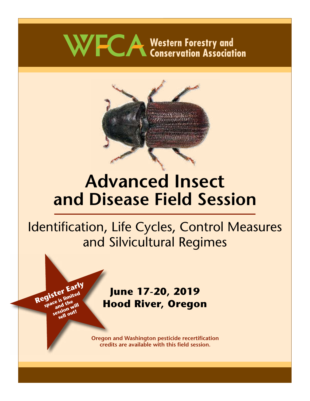# WFCA Western Forestry and<br>
Conservation Association



## **Advanced Insect and Disease Field Session**

## Identification, Life Cycles, Control Measures and Silvicultural Regimes

## **June 17-20, 2019 Hood River, Oregon**

**Register Early** 

**gistel**<br>space is limited<br>session will<br>sessio out!

ssion<sub>out!</sub>

**Oregon and Washington pesticide recertification credits are available with this field session.**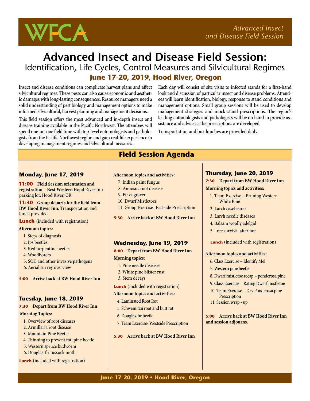

## **Advanced Insect and Disease Field Session:** Identification, Life Cycles, Control Measures and Silvicultural Regimes  **June 17-20, 2019, Hood River, Oregon**

Insect and disease conditions can complicate harvest plans and affect silvicultural regimes. These pests can also cause economic and aesthetic damages with long-lasting consequences. Resource managers need a solid understanding of pest biology and management options to make informed silvicultural, harvest planning and management decisions.

This field session offers the most advanced and in-depth insect and disease training available in the Pacific Northwest. The attendees will spend one-on-one field time with top-level entomologists and pathologists from the Pacific Northwest region and gain real-life experience in developing management regimes and silvicultural measures.

Each day will consist of site visits to infected stands for a first-hand look and discussion of particular insect and disease problems. Attendees will learn identification, biology, response to stand conditions and management options. Small group sessions will be used to develop management strategies and mock stand prescriptions. The region's leading entomologists and pathologists will be on hand to provide assistance and advice as the prescriptions are developed.

Transportation and box lunches are provided daily.

#### **Monday, June 17, 2019**

**11:00 Field Session orientation and registration – Best Western** Hood River Inn parking lot, Hood River, OR

**11:30 Group departs for the field from BW Hood River Inn. Transportation and** lunch provided.

**Lunch** (included with registration)

#### **Afternoon topics:**

- 1. Steps of diagnosis
- 2. Ips beetles
- 3. Red turpentine beetles
- 4. Woodborers
- 5. SOD and other invasive pathogens
- 6. Aerial survey overview

**5:00 Arrive back at BW Hood River Inn**

#### **Tuesday, June 18, 2019**

**7:30 Depart from BW Hood River Inn Morning Topics:**

- 1. Overview of root diseases
- 2. Armillaria root disease
- 3. Mountain Pine Beetle
- 4. Thinning to prevent mt. pine beetle
- 5. Western spruce budworm
- 6. Douglas-fir tussock moth

#### **Lunch** (included with registration)

## **Field Session Agenda**

- **Afternoon topics and activities:**
	- 7. Indian paint fungus
	- 8. Annosus root disease
	- 9. Fir engraver
	- 10. Dwarf Mistletoes
- 11. Group Exercise- Eastside Prescription

**5:30 Arrive back at BW Hood River Inn**

#### **Wednesday, June 19, 2019**

**8:00 Depart from BW Hood River Inn Morning topics:**

- 1. Pine needle diseases
- 2. White pine blister rust
- 3. Stem decays

**Lunch** (included with registration)

#### **Afternoon topics and activities:**

- 4. Laminated Root Rot
- 5. Schweinitzii root and butt rot
- 6. Douglas-fir beetle
- 7. Team Exercise- Westside Prescription

**5:30 Arrive back at BW Hood River Inn** 

#### **Thursday, June 20, 2019**

**7:30 Depart from BW Hood River Inn Morning topics and activities:**

- 1. Team Exercise Pruning Western White Pine
- 2. Larch casebearer
- 3. Larch needle diseases
- 4. Balsam woolly adelgid
- 5. Tree survival after fire
- **Lunch** (included with registration)

#### **Afternoon topics and activities:**

- 6. Class Exercise Identify Me!
- 7. Western pine beetle
- 8. Dwarf mistletoe recap ponderosa pine
- 9. Class Exercise Rating Dwarf mistletoe
- 10. Team Exercise Dry Ponderosa pine **Prescription**
- 11. Session wrap up

**5:00 Arrive back at BW Hood River Inn and session adjourns.**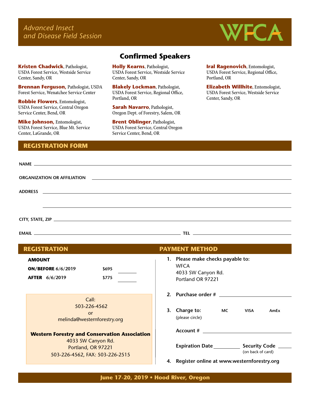*Advanced Insect and Disease Field Session*



**Kristen Chadwick**, Pathologist, USDA Forest Service, Westside Service Center, Sandy, OR

**Brennan Ferguson,** Pathologist, USDA Forest Service, Wenatchee Service Center

**Robbie Flowers**, Entomologist, USDA Forest Service, Central Oregon Service Center, Bend, OR

**Mike Johnson,** Entomologist, USDA Forest Service, Blue Mt. Service Center, LaGrande, OR

#### **REGISTRATION FORM**

### **Confirmed Speakers**

**Holly Kearns**, Pathologist, USDA Forest Service, Westside Service Center, Sandy, OR

**Blakely Lockman**, Pathologist, USDA Forest Service, Regional Office, Portland, OR

**Sarah Navarro**, Pathologist, Oregon Dept. of Forestry, Salem, OR

**Brent Oblinger**, Pathologist, USDA Forest Service, Central Oregon Service Center, Bend, OR

**Iral Ragenovich**, Entomologist, USDA Forest Service, Regional Office, Portland, OR

**Elizabeth Willhite**, Entomologist, USDA Forest Service, Westside Service Center, Sandy, OR

#### **AMOUNT ON/BEFORE 6/6/2019 \$695 AFTER 6/6/2019 \$775** Call: 503-226-4562 or melinda@westernforestry.org **Western Forestry and Conservation Association** 4033 SW Canyon Rd. Portland, OR 97221 503-226-4562, FAX: 503-226-2515 **1. Please make checks payable to: WFCA** 4033 SW Canyon Rd. Portland OR 97221 **2. Purchase order # 3. Charge to: MC VISA AmEx** (please circle) **Account # Expiration Date \_\_\_\_\_\_\_\_\_\_\_\_\_ Security Code** \_ **4. Register online at www.westernforestry.org** (on back of card) **REGISTRATION PAYMENT METHOD**

**June 17-20, 2019 • Hood River, Oregon**